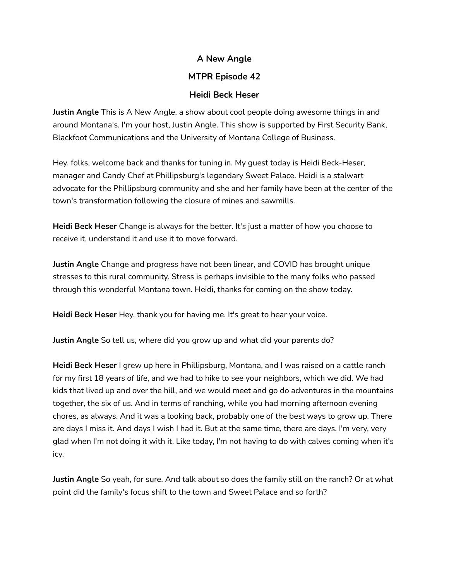## **A New Angle**

# **MTPR Episode 42**

## **Heidi Beck Heser**

**Justin Angle** This is A New Angle, a show about cool people doing awesome things in and around Montana's. I'm your host, Justin Angle. This show is supported by First Security Bank, Blackfoot Communications and the University of Montana College of Business.

Hey, folks, welcome back and thanks for tuning in. My guest today is Heidi Beck-Heser, manager and Candy Chef at Phillipsburg's legendary Sweet Palace. Heidi is a stalwart advocate for the Phillipsburg community and she and her family have been at the center of the town's transformation following the closure of mines and sawmills.

**Heidi Beck Heser** Change is always for the better. It's just a matter of how you choose to receive it, understand it and use it to move forward.

**Justin Angle** Change and progress have not been linear, and COVID has brought unique stresses to this rural community. Stress is perhaps invisible to the many folks who passed through this wonderful Montana town. Heidi, thanks for coming on the show today.

**Heidi Beck Heser** Hey, thank you for having me. It's great to hear your voice.

**Justin Angle** So tell us, where did you grow up and what did your parents do?

**Heidi Beck Heser** I grew up here in Phillipsburg, Montana, and I was raised on a cattle ranch for my first 18 years of life, and we had to hike to see your neighbors, which we did. We had kids that lived up and over the hill, and we would meet and go do adventures in the mountains together, the six of us. And in terms of ranching, while you had morning afternoon evening chores, as always. And it was a looking back, probably one of the best ways to grow up. There are days I miss it. And days I wish I had it. But at the same time, there are days. I'm very, very glad when I'm not doing it with it. Like today, I'm not having to do with calves coming when it's icy.

**Justin Angle** So yeah, for sure. And talk about so does the family still on the ranch? Or at what point did the family's focus shift to the town and Sweet Palace and so forth?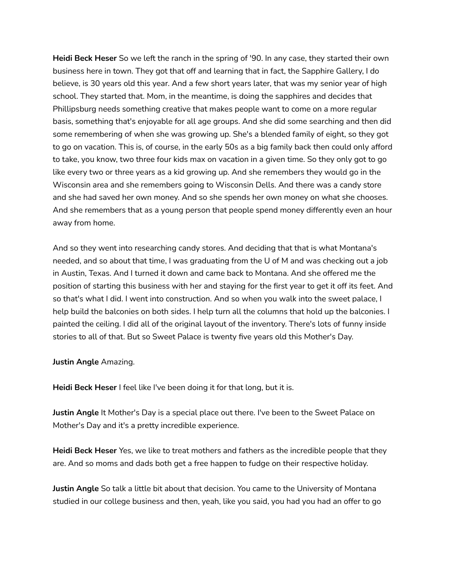**Heidi Beck Heser** So we left the ranch in the spring of '90. In any case, they started their own business here in town. They got that off and learning that in fact, the Sapphire Gallery, I do believe, is 30 years old this year. And a few short years later, that was my senior year of high school. They started that. Mom, in the meantime, is doing the sapphires and decides that Phillipsburg needs something creative that makes people want to come on a more regular basis, something that's enjoyable for all age groups. And she did some searching and then did some remembering of when she was growing up. She's a blended family of eight, so they got to go on vacation. This is, of course, in the early 50s as a big family back then could only afford to take, you know, two three four kids max on vacation in a given time. So they only got to go like every two or three years as a kid growing up. And she remembers they would go in the Wisconsin area and she remembers going to Wisconsin Dells. And there was a candy store and she had saved her own money. And so she spends her own money on what she chooses. And she remembers that as a young person that people spend money differently even an hour away from home.

And so they went into researching candy stores. And deciding that that is what Montana's needed, and so about that time, I was graduating from the U of M and was checking out a job in Austin, Texas. And I turned it down and came back to Montana. And she offered me the position of starting this business with her and staying for the first year to get it off its feet. And so that's what I did. I went into construction. And so when you walk into the sweet palace, I help build the balconies on both sides. I help turn all the columns that hold up the balconies. I painted the ceiling. I did all of the original layout of the inventory. There's lots of funny inside stories to all of that. But so Sweet Palace is twenty five years old this Mother's Day.

**Justin Angle** Amazing.

**Heidi Beck Heser** I feel like I've been doing it for that long, but it is.

**Justin Angle** It Mother's Day is a special place out there. I've been to the Sweet Palace on Mother's Day and it's a pretty incredible experience.

**Heidi Beck Heser** Yes, we like to treat mothers and fathers as the incredible people that they are. And so moms and dads both get a free happen to fudge on their respective holiday.

**Justin Angle** So talk a little bit about that decision. You came to the University of Montana studied in our college business and then, yeah, like you said, you had you had an offer to go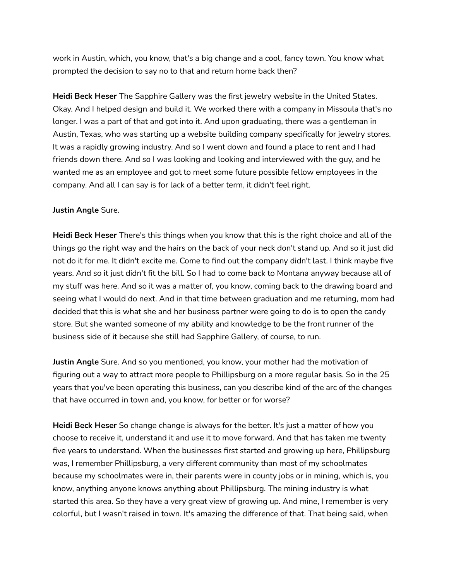work in Austin, which, you know, that's a big change and a cool, fancy town. You know what prompted the decision to say no to that and return home back then?

**Heidi Beck Heser** The Sapphire Gallery was the first jewelry website in the United States. Okay. And I helped design and build it. We worked there with a company in Missoula that's no longer. I was a part of that and got into it. And upon graduating, there was a gentleman in Austin, Texas, who was starting up a website building company specifically for jewelry stores. It was a rapidly growing industry. And so I went down and found a place to rent and I had friends down there. And so I was looking and looking and interviewed with the guy, and he wanted me as an employee and got to meet some future possible fellow employees in the company. And all I can say is for lack of a better term, it didn't feel right.

#### **Justin Angle** Sure.

**Heidi Beck Heser** There's this things when you know that this is the right choice and all of the things go the right way and the hairs on the back of your neck don't stand up. And so it just did not do it for me. It didn't excite me. Come to find out the company didn't last. I think maybe five years. And so it just didn't fit the bill. So I had to come back to Montana anyway because all of my stuff was here. And so it was a matter of, you know, coming back to the drawing board and seeing what I would do next. And in that time between graduation and me returning, mom had decided that this is what she and her business partner were going to do is to open the candy store. But she wanted someone of my ability and knowledge to be the front runner of the business side of it because she still had Sapphire Gallery, of course, to run.

**Justin Angle** Sure. And so you mentioned, you know, your mother had the motivation of figuring out a way to attract more people to Phillipsburg on a more regular basis. So in the 25 years that you've been operating this business, can you describe kind of the arc of the changes that have occurred in town and, you know, for better or for worse?

**Heidi Beck Heser** So change change is always for the better. It's just a matter of how you choose to receive it, understand it and use it to move forward. And that has taken me twenty five years to understand. When the businesses first started and growing up here, Phillipsburg was, I remember Phillipsburg, a very different community than most of my schoolmates because my schoolmates were in, their parents were in county jobs or in mining, which is, you know, anything anyone knows anything about Phillipsburg. The mining industry is what started this area. So they have a very great view of growing up. And mine, I remember is very colorful, but I wasn't raised in town. It's amazing the difference of that. That being said, when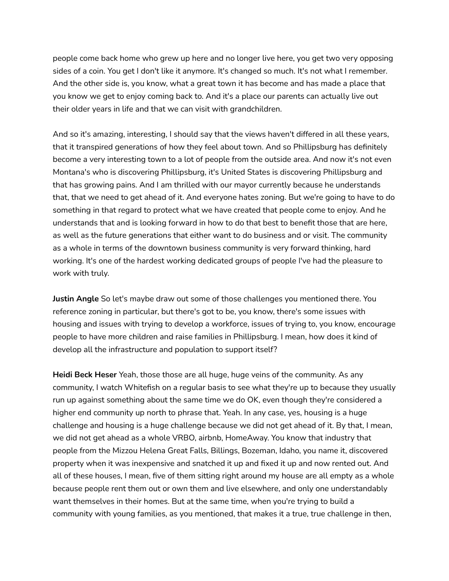people come back home who grew up here and no longer live here, you get two very opposing sides of a coin. You get I don't like it anymore. It's changed so much. It's not what I remember. And the other side is, you know, what a great town it has become and has made a place that you know we get to enjoy coming back to. And it's a place our parents can actually live out their older years in life and that we can visit with grandchildren.

And so it's amazing, interesting, I should say that the views haven't differed in all these years, that it transpired generations of how they feel about town. And so Phillipsburg has definitely become a very interesting town to a lot of people from the outside area. And now it's not even Montana's who is discovering Phillipsburg, it's United States is discovering Phillipsburg and that has growing pains. And I am thrilled with our mayor currently because he understands that, that we need to get ahead of it. And everyone hates zoning. But we're going to have to do something in that regard to protect what we have created that people come to enjoy. And he understands that and is looking forward in how to do that best to benefit those that are here, as well as the future generations that either want to do business and or visit. The community as a whole in terms of the downtown business community is very forward thinking, hard working. It's one of the hardest working dedicated groups of people I've had the pleasure to work with truly.

**Justin Angle** So let's maybe draw out some of those challenges you mentioned there. You reference zoning in particular, but there's got to be, you know, there's some issues with housing and issues with trying to develop a workforce, issues of trying to, you know, encourage people to have more children and raise families in Phillipsburg. I mean, how does it kind of develop all the infrastructure and population to support itself?

**Heidi Beck Heser** Yeah, those those are all huge, huge veins of the community. As any community, I watch Whitefish on a regular basis to see what they're up to because they usually run up against something about the same time we do OK, even though they're considered a higher end community up north to phrase that. Yeah. In any case, yes, housing is a huge challenge and housing is a huge challenge because we did not get ahead of it. By that, I mean, we did not get ahead as a whole VRBO, airbnb, HomeAway. You know that industry that people from the Mizzou Helena Great Falls, Billings, Bozeman, Idaho, you name it, discovered property when it was inexpensive and snatched it up and fixed it up and now rented out. And all of these houses, I mean, five of them sitting right around my house are all empty as a whole because people rent them out or own them and live elsewhere, and only one understandably want themselves in their homes. But at the same time, when you're trying to build a community with young families, as you mentioned, that makes it a true, true challenge in then,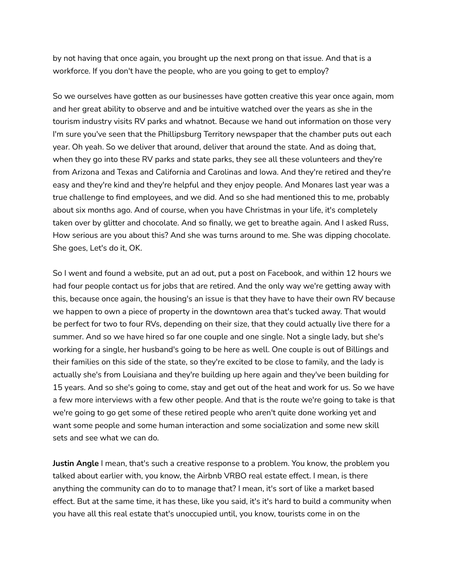by not having that once again, you brought up the next prong on that issue. And that is a workforce. If you don't have the people, who are you going to get to employ?

So we ourselves have gotten as our businesses have gotten creative this year once again, mom and her great ability to observe and and be intuitive watched over the years as she in the tourism industry visits RV parks and whatnot. Because we hand out information on those very I'm sure you've seen that the Phillipsburg Territory newspaper that the chamber puts out each year. Oh yeah. So we deliver that around, deliver that around the state. And as doing that, when they go into these RV parks and state parks, they see all these volunteers and they're from Arizona and Texas and California and Carolinas and Iowa. And they're retired and they're easy and they're kind and they're helpful and they enjoy people. And Monares last year was a true challenge to find employees, and we did. And so she had mentioned this to me, probably about six months ago. And of course, when you have Christmas in your life, it's completely taken over by glitter and chocolate. And so finally, we get to breathe again. And I asked Russ, How serious are you about this? And she was turns around to me. She was dipping chocolate. She goes, Let's do it, OK.

So I went and found a website, put an ad out, put a post on Facebook, and within 12 hours we had four people contact us for jobs that are retired. And the only way we're getting away with this, because once again, the housing's an issue is that they have to have their own RV because we happen to own a piece of property in the downtown area that's tucked away. That would be perfect for two to four RVs, depending on their size, that they could actually live there for a summer. And so we have hired so far one couple and one single. Not a single lady, but she's working for a single, her husband's going to be here as well. One couple is out of Billings and their families on this side of the state, so they're excited to be close to family, and the lady is actually she's from Louisiana and they're building up here again and they've been building for 15 years. And so she's going to come, stay and get out of the heat and work for us. So we have a few more interviews with a few other people. And that is the route we're going to take is that we're going to go get some of these retired people who aren't quite done working yet and want some people and some human interaction and some socialization and some new skill sets and see what we can do.

**Justin Angle** I mean, that's such a creative response to a problem. You know, the problem you talked about earlier with, you know, the Airbnb VRBO real estate effect. I mean, is there anything the community can do to to manage that? I mean, it's sort of like a market based effect. But at the same time, it has these, like you said, it's it's hard to build a community when you have all this real estate that's unoccupied until, you know, tourists come in on the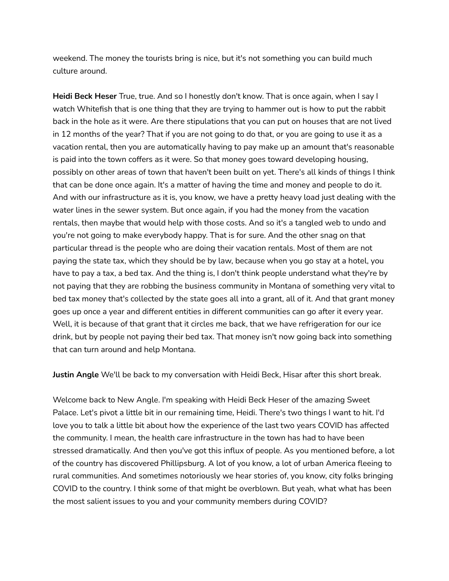weekend. The money the tourists bring is nice, but it's not something you can build much culture around.

**Heidi Beck Heser** True, true. And so I honestly don't know. That is once again, when I say I watch Whitefish that is one thing that they are trying to hammer out is how to put the rabbit back in the hole as it were. Are there stipulations that you can put on houses that are not lived in 12 months of the year? That if you are not going to do that, or you are going to use it as a vacation rental, then you are automatically having to pay make up an amount that's reasonable is paid into the town coffers as it were. So that money goes toward developing housing, possibly on other areas of town that haven't been built on yet. There's all kinds of things I think that can be done once again. It's a matter of having the time and money and people to do it. And with our infrastructure as it is, you know, we have a pretty heavy load just dealing with the water lines in the sewer system. But once again, if you had the money from the vacation rentals, then maybe that would help with those costs. And so it's a tangled web to undo and you're not going to make everybody happy. That is for sure. And the other snag on that particular thread is the people who are doing their vacation rentals. Most of them are not paying the state tax, which they should be by law, because when you go stay at a hotel, you have to pay a tax, a bed tax. And the thing is, I don't think people understand what they're by not paying that they are robbing the business community in Montana of something very vital to bed tax money that's collected by the state goes all into a grant, all of it. And that grant money goes up once a year and different entities in different communities can go after it every year. Well, it is because of that grant that it circles me back, that we have refrigeration for our ice drink, but by people not paying their bed tax. That money isn't now going back into something that can turn around and help Montana.

**Justin Angle** We'll be back to my conversation with Heidi Beck, Hisar after this short break.

Welcome back to New Angle. I'm speaking with Heidi Beck Heser of the amazing Sweet Palace. Let's pivot a little bit in our remaining time, Heidi. There's two things I want to hit. I'd love you to talk a little bit about how the experience of the last two years COVID has affected the community. I mean, the health care infrastructure in the town has had to have been stressed dramatically. And then you've got this influx of people. As you mentioned before, a lot of the country has discovered Phillipsburg. A lot of you know, a lot of urban America fleeing to rural communities. And sometimes notoriously we hear stories of, you know, city folks bringing COVID to the country. I think some of that might be overblown. But yeah, what what has been the most salient issues to you and your community members during COVID?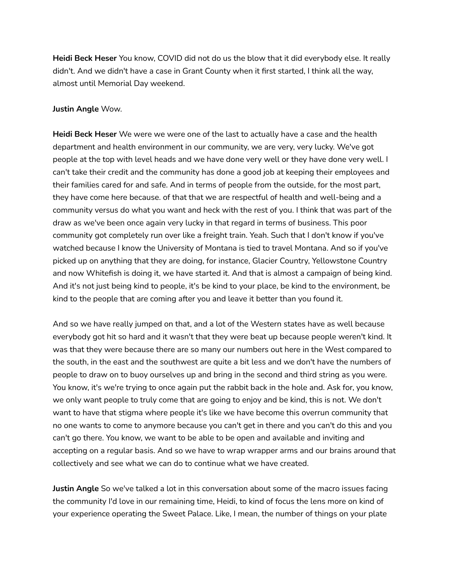**Heidi Beck Heser** You know, COVID did not do us the blow that it did everybody else. It really didn't. And we didn't have a case in Grant County when it first started, I think all the way, almost until Memorial Day weekend.

#### **Justin Angle** Wow.

**Heidi Beck Heser** We were we were one of the last to actually have a case and the health department and health environment in our community, we are very, very lucky. We've got people at the top with level heads and we have done very well or they have done very well. I can't take their credit and the community has done a good job at keeping their employees and their families cared for and safe. And in terms of people from the outside, for the most part, they have come here because. of that that we are respectful of health and well-being and a community versus do what you want and heck with the rest of you. I think that was part of the draw as we've been once again very lucky in that regard in terms of business. This poor community got completely run over like a freight train. Yeah. Such that I don't know if you've watched because I know the University of Montana is tied to travel Montana. And so if you've picked up on anything that they are doing, for instance, Glacier Country, Yellowstone Country and now Whitefish is doing it, we have started it. And that is almost a campaign of being kind. And it's not just being kind to people, it's be kind to your place, be kind to the environment, be kind to the people that are coming after you and leave it better than you found it.

And so we have really jumped on that, and a lot of the Western states have as well because everybody got hit so hard and it wasn't that they were beat up because people weren't kind. It was that they were because there are so many our numbers out here in the West compared to the south, in the east and the southwest are quite a bit less and we don't have the numbers of people to draw on to buoy ourselves up and bring in the second and third string as you were. You know, it's we're trying to once again put the rabbit back in the hole and. Ask for, you know, we only want people to truly come that are going to enjoy and be kind, this is not. We don't want to have that stigma where people it's like we have become this overrun community that no one wants to come to anymore because you can't get in there and you can't do this and you can't go there. You know, we want to be able to be open and available and inviting and accepting on a regular basis. And so we have to wrap wrapper arms and our brains around that collectively and see what we can do to continue what we have created.

**Justin Angle** So we've talked a lot in this conversation about some of the macro issues facing the community I'd love in our remaining time, Heidi, to kind of focus the lens more on kind of your experience operating the Sweet Palace. Like, I mean, the number of things on your plate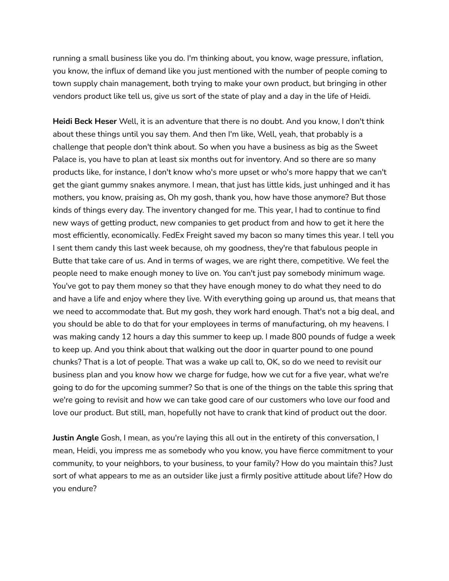running a small business like you do. I'm thinking about, you know, wage pressure, inflation, you know, the influx of demand like you just mentioned with the number of people coming to town supply chain management, both trying to make your own product, but bringing in other vendors product like tell us, give us sort of the state of play and a day in the life of Heidi.

**Heidi Beck Heser** Well, it is an adventure that there is no doubt. And you know, I don't think about these things until you say them. And then I'm like, Well, yeah, that probably is a challenge that people don't think about. So when you have a business as big as the Sweet Palace is, you have to plan at least six months out for inventory. And so there are so many products like, for instance, I don't know who's more upset or who's more happy that we can't get the giant gummy snakes anymore. I mean, that just has little kids, just unhinged and it has mothers, you know, praising as, Oh my gosh, thank you, how have those anymore? But those kinds of things every day. The inventory changed for me. This year, I had to continue to find new ways of getting product, new companies to get product from and how to get it here the most efficiently, economically. FedEx Freight saved my bacon so many times this year. I tell you I sent them candy this last week because, oh my goodness, they're that fabulous people in Butte that take care of us. And in terms of wages, we are right there, competitive. We feel the people need to make enough money to live on. You can't just pay somebody minimum wage. You've got to pay them money so that they have enough money to do what they need to do and have a life and enjoy where they live. With everything going up around us, that means that we need to accommodate that. But my gosh, they work hard enough. That's not a big deal, and you should be able to do that for your employees in terms of manufacturing, oh my heavens. I was making candy 12 hours a day this summer to keep up. I made 800 pounds of fudge a week to keep up. And you think about that walking out the door in quarter pound to one pound chunks? That is a lot of people. That was a wake up call to, OK, so do we need to revisit our business plan and you know how we charge for fudge, how we cut for a five year, what we're going to do for the upcoming summer? So that is one of the things on the table this spring that we're going to revisit and how we can take good care of our customers who love our food and love our product. But still, man, hopefully not have to crank that kind of product out the door.

**Justin Angle** Gosh, I mean, as you're laying this all out in the entirety of this conversation, I mean, Heidi, you impress me as somebody who you know, you have fierce commitment to your community, to your neighbors, to your business, to your family? How do you maintain this? Just sort of what appears to me as an outsider like just a firmly positive attitude about life? How do you endure?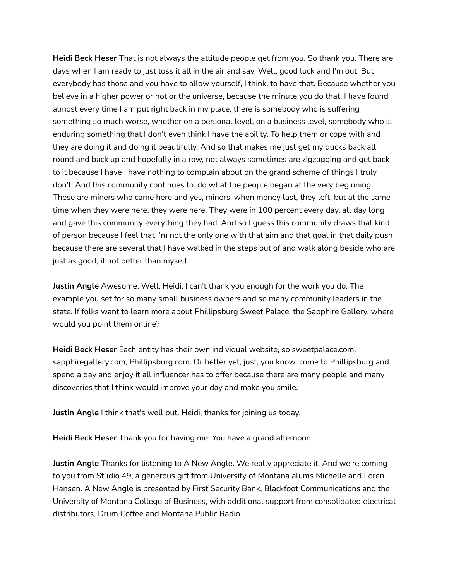**Heidi Beck Heser** That is not always the attitude people get from you. So thank you. There are days when I am ready to just toss it all in the air and say, Well, good luck and I'm out. But everybody has those and you have to allow yourself, I think, to have that. Because whether you believe in a higher power or not or the universe, because the minute you do that, I have found almost every time I am put right back in my place, there is somebody who is suffering something so much worse, whether on a personal level, on a business level, somebody who is enduring something that I don't even think I have the ability. To help them or cope with and they are doing it and doing it beautifully. And so that makes me just get my ducks back all round and back up and hopefully in a row, not always sometimes are zigzagging and get back to it because I have I have nothing to complain about on the grand scheme of things I truly don't. And this community continues to. do what the people began at the very beginning. These are miners who came here and yes, miners, when money last, they left, but at the same time when they were here, they were here. They were in 100 percent every day, all day long and gave this community everything they had. And so I guess this community draws that kind of person because I feel that I'm not the only one with that aim and that goal in that daily push because there are several that I have walked in the steps out of and walk along beside who are just as good, if not better than myself.

**Justin Angle** Awesome. Well, Heidi, I can't thank you enough for the work you do. The example you set for so many small business owners and so many community leaders in the state. If folks want to learn more about Phillipsburg Sweet Palace, the Sapphire Gallery, where would you point them online?

**Heidi Beck Heser** Each entity has their own individual website, so sweetpalace.com, sapphiregallery.com, Phillipsburg.com. Or better yet, just, you know, come to Phillipsburg and spend a day and enjoy it all influencer has to offer because there are many people and many discoveries that I think would improve your day and make you smile.

**Justin Angle** I think that's well put. Heidi, thanks for joining us today.

**Heidi Beck Heser** Thank you for having me. You have a grand afternoon.

**Justin Angle** Thanks for listening to A New Angle. We really appreciate it. And we're coming to you from Studio 49, a generous gift from University of Montana alums Michelle and Loren Hansen. A New Angle is presented by First Security Bank, Blackfoot Communications and the University of Montana College of Business, with additional support from consolidated electrical distributors, Drum Coffee and Montana Public Radio.